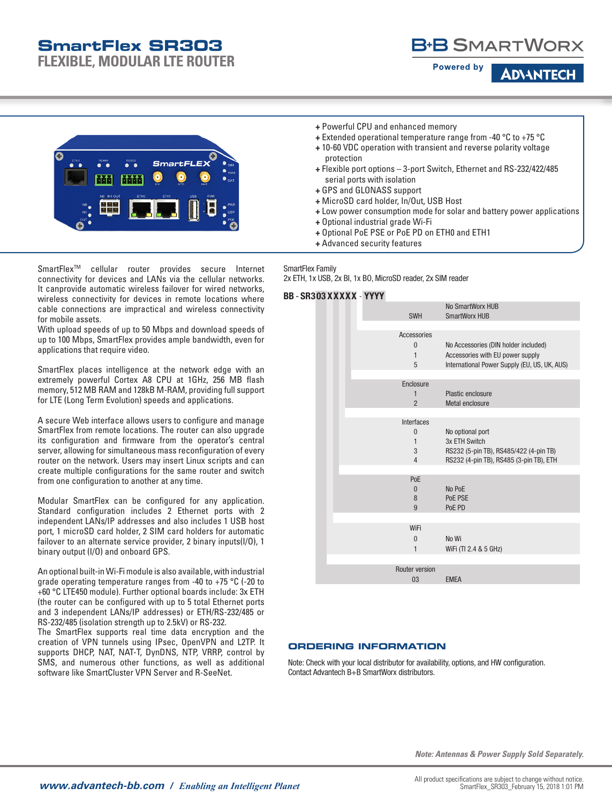# **SmartFlex SR303**

**FLEXIBLE, MODULAR LTE ROUTER**



**ADVANTEC** 

**Powered by** 



- **+** Extended operational temperature range from -40 °C to +75 °C
- **+** 10-60 VDC operation with transient and reverse polarity voltage protection
- **+** Flexible port options 3-port Switch, Ethernet and RS-232/422/485 serial ports with isolation
- **+** GPS and GLONASS support
- **+** MicroSD card holder, In/Out, USB Host
- **+** Low power consumption mode for solar and battery power applications
- **+** Optional industrial grade Wi-Fi
- **+** Optional PoE PSE or PoE PD on ETH0 and ETH1
- **+** Advanced security features

SmartFlexTM cellular router provides secure Internet connectivity for devices and LANs via the cellular networks. It canprovide automatic wireless failover for wired networks, wireless connectivity for devices in remote locations where cable connections are impractical and wireless connectivity for mobile assets.

With upload speeds of up to 50 Mbps and download speeds of up to 100 Mbps, SmartFlex provides ample bandwidth, even for applications that require video.

SmartFlex places intelligence at the network edge with an extremely powerful Cortex A8 CPU at 1GHz, 256 MB flash memory, 512 MB RAM and 128kB M-RAM, providing full support for LTE (Long Term Evolution) speeds and applications.

A secure Web interface allows users to configure and manage SmartFlex from remote locations. The router can also upgrade its configuration and firmware from the operator's central server, allowing for simultaneous mass reconfiguration of every router on the network. Users may insert Linux scripts and can create multiple configurations for the same router and switch from one configuration to another at any time.

Modular SmartFlex can be configured for any application. Standard configuration includes 2 Ethernet ports with 2 independent LANs/IP addresses and also includes 1 USB host port, 1 microSD card holder, 2 SIM card holders for automatic failover to an alternate service provider, 2 binary inputs(I/O), 1 binary output (I/O) and onboard GPS.

An optional built-in Wi-Fi module is also available, with industrial grade operating temperature ranges from -40 to +75 °C (-20 to +60 °C LTE450 module). Further optional boards include: 3x ETH (the router can be configured with up to 5 total Ethernet ports and 3 independent LANs/IP addresses) or ETH/RS-232/485 or RS-232/485 (isolation strength up to 2.5kV) or RS-232.

The SmartFlex supports real time data encryption and the creation of VPN tunnels using IPsec, OpenVPN and L2TP. It supports DHCP, NAT, NAT-T, DynDNS, NTP, VRRP, control by SMS, and numerous other functions, as well as additional software like SmartCluster VPN Server and R-SeeNet.

SmartFlex Family

2x ETH, 1x USB, 2x BI, 1x BO, MicroSD reader, 2x SIM reader

#### BB - SR303 XXXXX - YYYY

| <b>SWH</b>               | No SmartWorx HUB<br><b>SmartWorx HUB</b>     |
|--------------------------|----------------------------------------------|
|                          |                                              |
| Accessories              |                                              |
| $\theta$                 | No Accessories (DIN holder included)         |
| $\mathbf{1}$             | Accessories with EU power supply             |
| 5                        | International Power Supply (EU, US, UK, AUS) |
|                          |                                              |
| Enclosure                |                                              |
| $\mathbf{1}$             | Plastic enclosure                            |
| $\overline{2}$           | Metal enclosure                              |
|                          |                                              |
| <b>Interfaces</b>        |                                              |
| $\bf{0}$<br>$\mathbf{1}$ | No optional port<br>3x ETH Switch            |
| 3                        | RS232 (5-pin TB), RS485/422 (4-pin TB)       |
| $\overline{4}$           | RS232 (4-pin TB), RS485 (3-pin TB), ETH      |
|                          |                                              |
| PoE                      |                                              |
| $\Omega$                 | No PoE                                       |
| 8                        | PoE PSE                                      |
| 9                        | PoE PD                                       |
|                          |                                              |
| WiFi                     |                                              |
| $\Omega$                 | No Wi                                        |
| $\mathbf{1}$             | WiFi (TI 2.4 & 5 GHz)                        |
|                          |                                              |
| Router version           |                                              |
| 03                       | <b>EMEA</b>                                  |
|                          |                                              |

#### **ORDERING INFORMATION**

Note: Check with your local distributor for availability, options, and HW configuration. Contact Advantech B+B SmartWorx distributors.

*Note: Antennas & Power Supply Sold Separately.*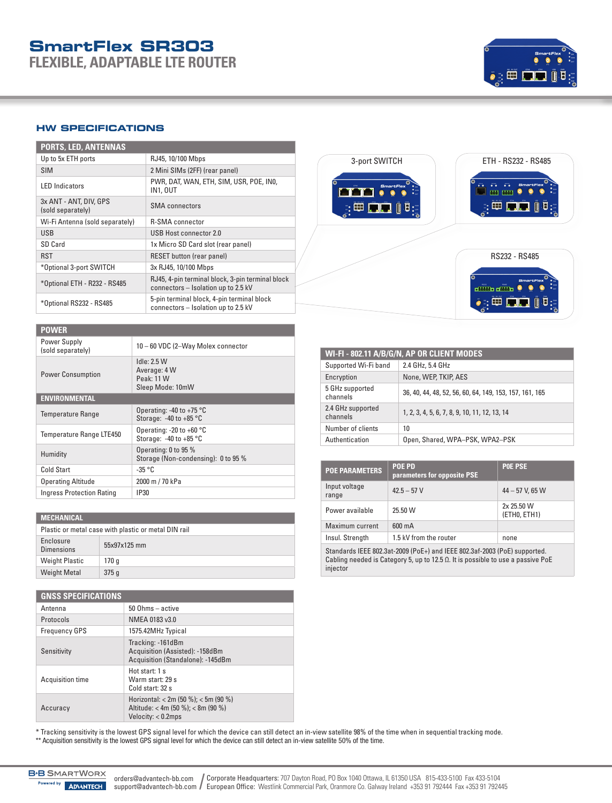## **SmartFlex SR303 FLEXIBLE, ADAPTABLE LTE ROUTER**



### **HW SPECIFICATIONS**

| <b>PORTS, LED, ANTENNAS</b>                 |                                                                                         |
|---------------------------------------------|-----------------------------------------------------------------------------------------|
| Up to 5x ETH ports                          | RJ45, 10/100 Mbps                                                                       |
| <b>SIM</b>                                  | 2 Mini SIMs (2FF) (rear panel)                                                          |
| <b>LED</b> Indicators                       | PWR, DAT, WAN, ETH, SIM, USR, POE, INO,<br><b>IN1. OUT</b>                              |
| 3x ANT - ANT, DIV, GPS<br>(sold separately) | <b>SMA</b> connectors                                                                   |
| Wi-Fi Antenna (sold separately)             | <b>R-SMA</b> connector                                                                  |
| <b>USB</b>                                  | USB Host connector 2.0                                                                  |
| SD Card                                     | 1x Micro SD Card slot (rear panel)                                                      |
| <b>RST</b>                                  | <b>RESET button (rear panel)</b>                                                        |
| *Optional 3-port SWITCH                     | 3x RJ45, 10/100 Mbps                                                                    |
| *Optional ETH - R232 - RS485                | RJ45, 4-pin terminal block, 3-pin terminal block<br>connectors - Isolation up to 2.5 kV |
| *Optional RS232 - RS485                     | 5-pin terminal block, 4-pin terminal block<br>connectors - Isolation up to 2.5 kV       |



| <b>POWER</b>                      |                                                                  |  |
|-----------------------------------|------------------------------------------------------------------|--|
| Power Supply<br>(sold separately) | 10 - 60 VDC (2-Way Molex connector                               |  |
| <b>Power Consumption</b>          | Idle: $2.5 W$<br>Average: 4 W<br>Peak: 11 W<br>Sleep Mode: 10mW  |  |
| <b>ENVIRONMENTAL</b>              |                                                                  |  |
| <b>Temperature Range</b>          | Operating: -40 to +75 $\degree$ C<br>Storage: $-40$ to $+85$ °C  |  |
| Temperature Range LTE450          | Operating: -20 to +60 $^{\circ}$ C<br>Storage: $-40$ to $+85$ °C |  |
| Humidity                          | Operating: 0 to 95 %<br>Storage (Non-condensing): 0 to 95 %      |  |
| <b>Cold Start</b>                 | $-35 °C$                                                         |  |
| <b>Operating Altitude</b>         | 2000 m / 70 kPa                                                  |  |
| <b>Ingress Protection Rating</b>  | IP30                                                             |  |

| <b>MECHANICAL</b>                                    |              |  |
|------------------------------------------------------|--------------|--|
| Plastic or metal case with plastic or metal DIN rail |              |  |
| Enclosure<br><b>Dimensions</b>                       | 55x97x125 mm |  |
| <b>Weight Plastic</b>                                | 170 q        |  |
| <b>Weight Metal</b>                                  | 375q         |  |

| <b>GNSS SPECIFICATIONS</b> |                                                                                                    |  |
|----------------------------|----------------------------------------------------------------------------------------------------|--|
| Antenna                    | $50$ Ohms $-$ active                                                                               |  |
| Protocols                  | NMEA 0183 v3.0                                                                                     |  |
| <b>Frequency GPS</b>       | 1575.42MHz Typical                                                                                 |  |
| Sensitivity                | Tracking: -161dBm<br>Acquisition (Assisted): -158dBm<br>Acquisition (Standalone): -145dBm          |  |
| Acquisition time           | Hot start: 1 s<br>Warm start: 29 s<br>Cold start: 32 s                                             |  |
| Accuracy                   | Horizontal: $< 2m (50 %): < 5m (90 %)$<br>Altitude: < 4m (50 %): < 8m (90 %)<br>Velocity: < 0.2mps |  |

| WI-FI-802.11 A/B/G/N, AP OR CLIENT MODES |                                                         |  |
|------------------------------------------|---------------------------------------------------------|--|
| Supported Wi-Fi band                     | 2.4 GHz, 5.4 GHz                                        |  |
| Encryption                               | None, WEP, TKIP, AES                                    |  |
| 5 GHz supported<br>channels              | 36, 40, 44, 48, 52, 56, 60, 64, 149, 153, 157, 161, 165 |  |
| 2.4 GHz supported<br>channels            | 1, 2, 3, 4, 5, 6, 7, 8, 9, 10, 11, 12, 13, 14           |  |
| Number of clients                        | 10                                                      |  |
| Authentication                           | Open, Shared, WPA-PSK, WPA2-PSK                         |  |

| <b>POE PARAMETERS</b>                                                                                                                                                            | <b>POE PD</b><br>parameters for opposite PSE | <b>POE PSE</b>             |
|----------------------------------------------------------------------------------------------------------------------------------------------------------------------------------|----------------------------------------------|----------------------------|
| Input voltage<br>range                                                                                                                                                           | $42.5 - 57V$                                 | $44 - 57$ V, 65 W          |
| Power available                                                                                                                                                                  | 25.50 W                                      | 2x 25.50 W<br>(ETHO, ETH1) |
| Maximum current                                                                                                                                                                  | 600 mA                                       |                            |
| Insul. Strength                                                                                                                                                                  | 1.5 kV from the router                       | none                       |
| Standards IEEE 802.3at-2009 (PoE+) and IEEE 802.3af-2003 (PoE) supported.<br>Cabling needed is Category 5, up to 12.5 $\Omega$ . It is possible to use a passive PoE<br>injector |                                              |                            |

\* Tracking sensitivity is the lowest GPS signal level for which the device can still detect an in-view satellite 98% of the time when in sequential tracking mode.<br>\*\* Acquisition sensitivity is the lowest GPS signal level f

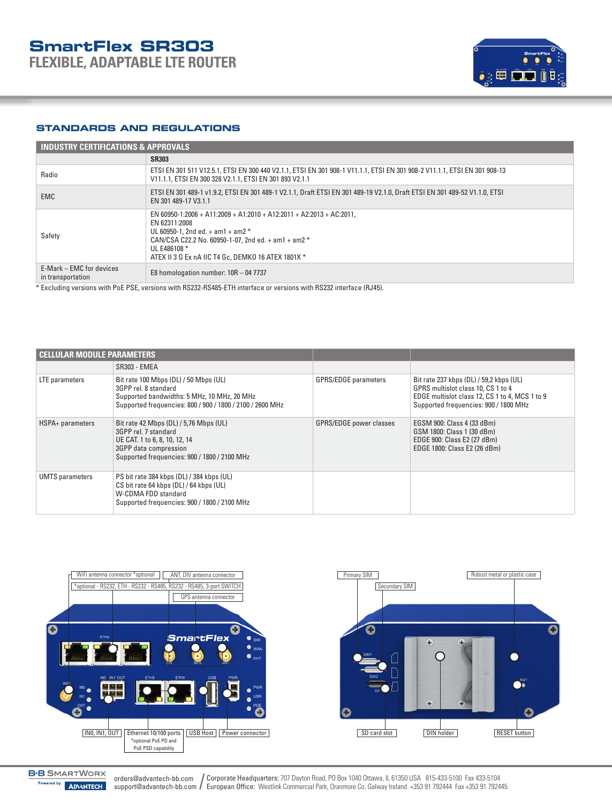

### **STANDARDS AND REGULATIONS**

| <b>INDUSTRY CERTIFICATIONS &amp; APPROVALS</b> |                                                                                                                                                                                                                                                                     |  |
|------------------------------------------------|---------------------------------------------------------------------------------------------------------------------------------------------------------------------------------------------------------------------------------------------------------------------|--|
|                                                | <b>SR303</b>                                                                                                                                                                                                                                                        |  |
| Radio                                          | ETSI EN 301 511 V12.5.1, ETSI EN 300 440 V2.1.1, ETSI EN 301 908-1 V11.1.1, ETSI EN 301 908-2 V11.1.1, ETSI EN 301 908-13<br>V11.1.1. ETSI EN 300 328 V2.1.1. ETSI EN 301 893 V2.1.1                                                                                |  |
| EMC.                                           | ETSI EN 301 489-1 v1.9.2, ETSI EN 301 489-1 V2.1.1, Draft ETSI EN 301 489-19 V2.1.0, Draft ETSI EN 301 489-52 V1.1.0, ETSI<br>EN 301 489-17 V3.1.1                                                                                                                  |  |
| Safety                                         | EN 60950-1:2006 + A11:2009 + A1:2010 + A12:2011 + A2:2013 + AC:2011.<br>EN 62311:2008<br>UL 60950-1. 2nd ed. $+$ am1 $+$ am2 $*$<br>CAN/CSA C22.2 No. 60950-1-07. 2nd ed. $+$ am1 $+$ am2 $*$<br>UL E486108 *<br>ATEX II 3 G Ex nA IIC T4 Gc. DEMKO 16 ATEX 1801X * |  |
| E-Mark – EMC for devices<br>in transportation  | E8 homologation number: $10R - 047737$                                                                                                                                                                                                                              |  |

\* Excluding versions with PoE PSE, versions with RS232-RS485-ETH interface or versions with RS232 interface (RJ45).

| l Cellular module parameters |                                                                                                                                                                           |                                |                                                                                                                                                                          |
|------------------------------|---------------------------------------------------------------------------------------------------------------------------------------------------------------------------|--------------------------------|--------------------------------------------------------------------------------------------------------------------------------------------------------------------------|
|                              | SR303 - EMEA                                                                                                                                                              |                                |                                                                                                                                                                          |
| LTE parameters               | Bit rate 100 Mbps (DL) / 50 Mbps (UL)<br>3GPP rel. 8 standard<br>Supported bandwidths: 5 MHz, 10 MHz, 20 MHz<br>Supported frequencies: 800 / 900 / 1800 / 2100 / 2600 MHz | <b>GPRS/EDGE</b> parameters    | Bit rate 237 kbps (DL) / 59,2 kbps (UL)<br>GPRS multislot class 10, CS 1 to 4<br>EDGE multislot class 12, CS 1 to 4, MCS 1 to 9<br>Supported frequencies: 900 / 1800 MHz |
| HSPA+ parameters             | Bit rate 42 Mbps (DL) / 5,76 Mbps (UL)<br>3GPP rel. 7 standard<br>UE CAT. 1 to 6, 8, 10, 12, 14<br>3GPP data compression<br>Supported frequencies: 900 / 1800 / 2100 MHz  | <b>GPRS/EDGE power classes</b> | EGSM 900: Class 4 (33 dBm)<br>GSM 1800: Class 1 (30 dBm)<br>EDGE 900: Class E2 (27 dBm)<br>EDGE 1800: Class E2 (26 dBm)                                                  |
| <b>UMTS</b> parameters       | PS bit rate 384 kbps (DL) / 384 kbps (UL)<br>CS bit rate 64 kbps (DL) / 64 kbps (UL)<br>W-CDMA FDD standard<br>Supported frequencies: 900 / 1800 / 2100 MHz               |                                |                                                                                                                                                                          |



Corporate Headquarters: 707 Dayton Road, PO Box 1040 Ottawa, IL 61350 USA 815-433-5100 Fax 433-5104 support@advantech-bb.com / European Office: Westlink Commercial Park, Oranmore Co. Galway Ireland +353 91 792444 Fax +353 91 792445 orders@advantech-bb.com